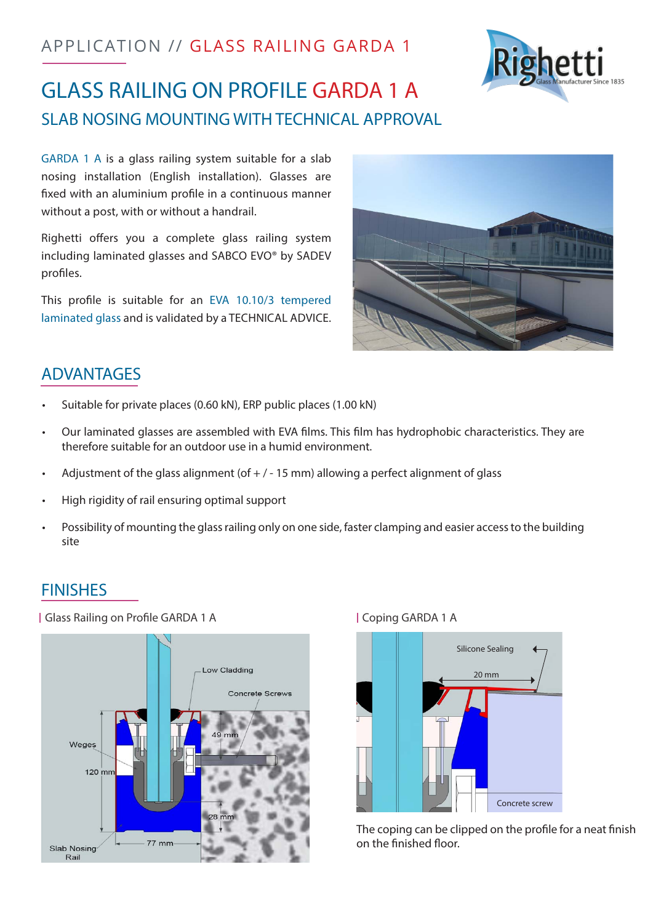# APPLICATION // GLASS RAILING GARDA 1



# GLASS RAILING ON PROFILE GARDA 1 A SLAB NOSING MOUNTING WITH TECHNICAL APPROVAL

GARDA 1 A is a glass railing system suitable for a slab nosing installation (English installation). Glasses are fixed with an aluminium profile in a continuous manner without a post, with or without a handrail.

Righetti offers you a complete glass railing system including laminated glasses and SABCO EVO® by SADEV profiles.

This profile is suitable for an EVA 10.10/3 tempered laminated glass and is validated by a TECHNICAL ADVICE.



### ADVANTAGES

- Suitable for private places (0.60 kN), ERP public places (1.00 kN)
- Our laminated glasses are assembled with EVA films. This film has hydrophobic characteristics. They are therefore suitable for an outdoor use in a humid environment.
- Adjustment of the glass alignment (of  $+$  / 15 mm) allowing a perfect alignment of glass
- High rigidity of rail ensuring optimal support
- Possibility of mounting the glass railing only on one side, faster clamping and easier access to the building site

### FINISHES

| Glass Railing on Profile GARDA 1 A | Coping GARDA 1 A





The coping can be clipped on the profile for a neat finish on the finished floor.